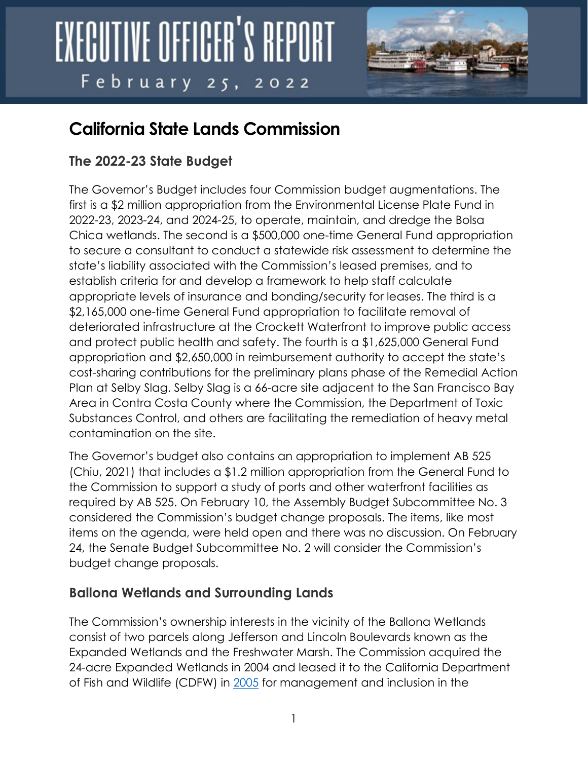

### **California State Lands Commission**

#### **The 2022-23 State Budget**

The Governor's Budget includes four Commission budget augmentations. The first is a \$2 million appropriation from the Environmental License Plate Fund in 2022-23, 2023-24, and 2024-25, to operate, maintain, and dredge the Bolsa Chica wetlands. The second is a \$500,000 one-time General Fund appropriation to secure a consultant to conduct a statewide risk assessment to determine the state's liability associated with the Commission's leased premises, and to establish criteria for and develop a framework to help staff calculate appropriate levels of insurance and bonding/security for leases. The third is a \$2,165,000 one-time General Fund appropriation to facilitate removal of deteriorated infrastructure at the Crockett Waterfront to improve public access and protect public health and safety. The fourth is a \$1,625,000 General Fund appropriation and \$2,650,000 in reimbursement authority to accept the state's cost-sharing contributions for the preliminary plans phase of the Remedial Action Plan at Selby Slag. Selby Slag is a 66-acre site adjacent to the San Francisco Bay Area in Contra Costa County where the Commission, the Department of Toxic Substances Control, and others are facilitating the remediation of heavy metal contamination on the site.

The Governor's budget also contains an appropriation to implement AB 525 (Chiu, 2021) that includes a \$1.2 million appropriation from the General Fund to the Commission to support a study of ports and other waterfront facilities as required by AB 525. On February 10, the Assembly Budget Subcommittee No. 3 considered the Commission's budget change proposals. The items, like most items on the agenda, were held open and there was no discussion. On February 24, the Senate Budget Subcommittee No. 2 will consider the Commission's budget change proposals.

#### **Ballona Wetlands and Surrounding Lands**

The Commission's ownership interests in the vicinity of the Ballona Wetlands consist of two parcels along Jefferson and Lincoln Boulevards known as the Expanded Wetlands and the Freshwater Marsh. The Commission acquired the 24-acre Expanded Wetlands in 2004 and leased it to the California Department of Fish and Wildlife (CDFW) in [2005](https://www.slc.ca.gov/Meeting_Summaries/2005_Documents/06-20-05/Items/062005C36.pdf) for management and inclusion in the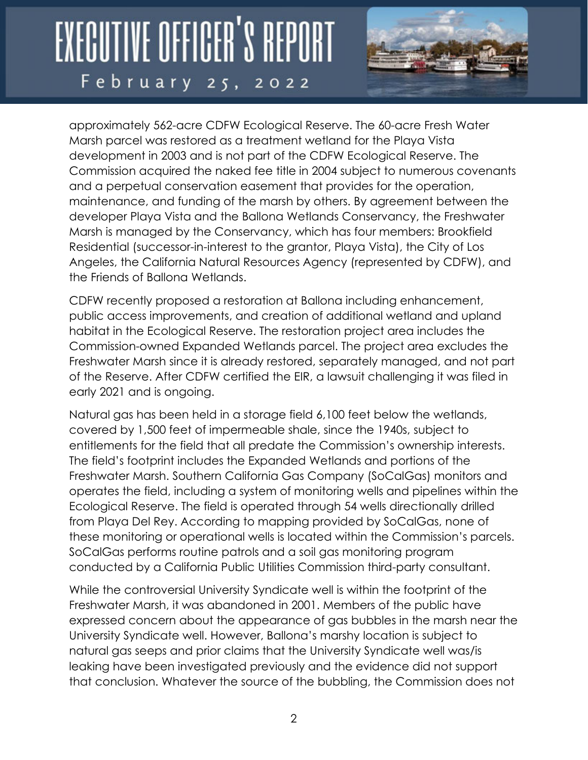

approximately 562-acre CDFW Ecological Reserve. The 60-acre Fresh Water Marsh parcel was restored as a treatment wetland for the Playa Vista development in 2003 and is not part of the CDFW Ecological Reserve. The Commission acquired the naked fee title in 2004 subject to numerous covenants and a perpetual conservation easement that provides for the operation, maintenance, and funding of the marsh by others. By agreement between the developer Playa Vista and the Ballona Wetlands Conservancy, the Freshwater Marsh is managed by the Conservancy, which has four members: Brookfield Residential (successor-in-interest to the grantor, Playa Vista), the City of Los Angeles, the California Natural Resources Agency (represented by CDFW), and the Friends of Ballona Wetlands.

CDFW recently proposed a restoration at Ballona including enhancement, public access improvements, and creation of additional wetland and upland habitat in the Ecological Reserve. The restoration project area includes the Commission-owned Expanded Wetlands parcel. The project area excludes the Freshwater Marsh since it is already restored, separately managed, and not part of the Reserve. After CDFW certified the EIR, a lawsuit challenging it was filed in early 2021 and is ongoing.

Natural gas has been held in a storage field 6,100 feet below the wetlands, covered by 1,500 feet of impermeable shale, since the 1940s, subject to entitlements for the field that all predate the Commission's ownership interests. The field's footprint includes the Expanded Wetlands and portions of the Freshwater Marsh. Southern California Gas Company (SoCalGas) monitors and operates the field, including a system of monitoring wells and pipelines within the Ecological Reserve. The field is operated through 54 wells directionally drilled from Playa Del Rey. According to mapping provided by SoCalGas, none of these monitoring or operational wells is located within the Commission's parcels. SoCalGas performs routine patrols and a soil gas monitoring program conducted by a California Public Utilities Commission third-party consultant.

While the controversial University Syndicate well is within the footprint of the Freshwater Marsh, it was abandoned in 2001. Members of the public have expressed concern about the appearance of gas bubbles in the marsh near the University Syndicate well. However, Ballona's marshy location is subject to natural gas seeps and prior claims that the University Syndicate well was/is leaking have been investigated previously and the evidence did not support that conclusion. Whatever the source of the bubbling, the Commission does not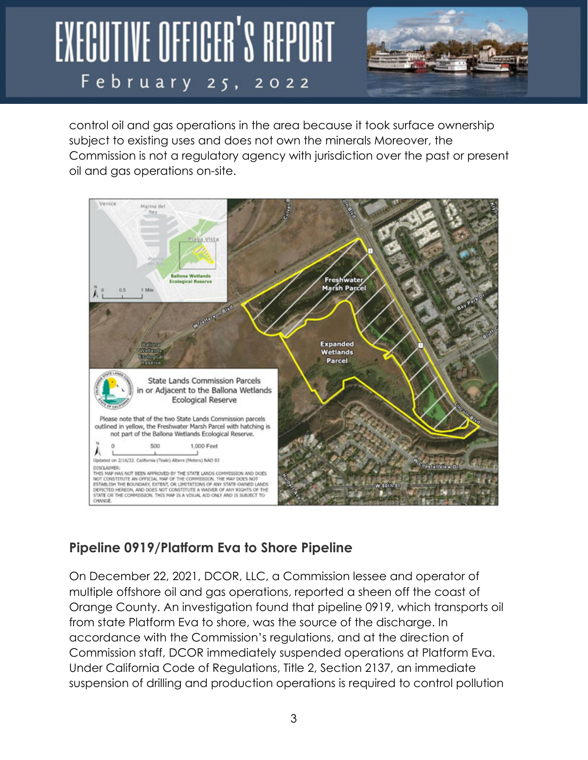

control oil and gas operations in the area because it took surface ownership subject to existing uses and does not own the minerals Moreover, the Commission is not a regulatory agency with jurisdiction over the past or present oil and gas operations on-site.



#### **Pipeline 0919/Platform Eva to Shore Pipeline**

On December 22, 2021, DCOR, LLC, a Commission lessee and operator of multiple offshore oil and gas operations, reported a sheen off the coast of Orange County. An investigation found that pipeline 0919, which transports oil from state Platform Eva to shore, was the source of the discharge. In accordance with the Commission's regulations, and at the direction of Commission staff, DCOR immediately suspended operations at Platform Eva. Under California Code of Regulations, Title 2, Section 2137, an immediate suspension of drilling and production operations is required to control pollution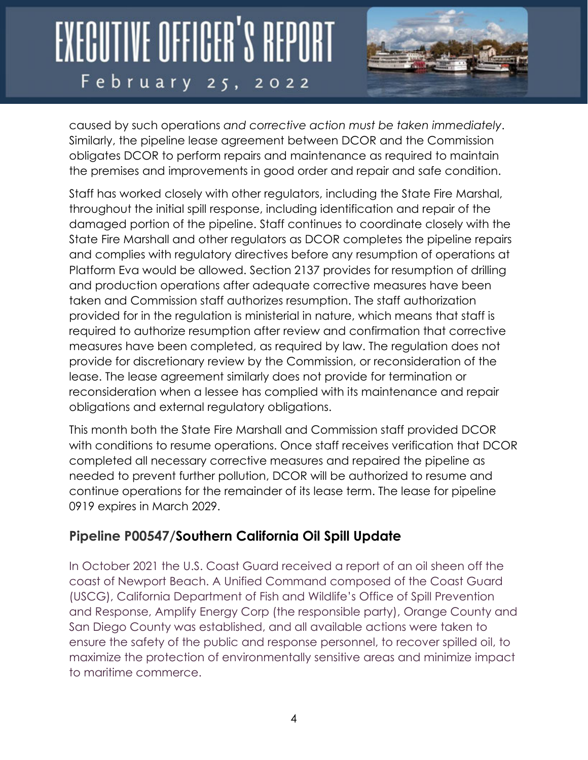

caused by such operations *and corrective action must be taken immediately*. Similarly, the pipeline lease agreement between DCOR and the Commission obligates DCOR to perform repairs and maintenance as required to maintain the premises and improvements in good order and repair and safe condition.

Staff has worked closely with other regulators, including the State Fire Marshal, throughout the initial spill response, including identification and repair of the damaged portion of the pipeline. Staff continues to coordinate closely with the State Fire Marshall and other regulators as DCOR completes the pipeline repairs and complies with regulatory directives before any resumption of operations at Platform Eva would be allowed. Section 2137 provides for resumption of drilling and production operations after adequate corrective measures have been taken and Commission staff authorizes resumption. The staff authorization provided for in the regulation is ministerial in nature, which means that staff is required to authorize resumption after review and confirmation that corrective measures have been completed, as required by law. The regulation does not provide for discretionary review by the Commission, or reconsideration of the lease. The lease agreement similarly does not provide for termination or reconsideration when a lessee has complied with its maintenance and repair obligations and external regulatory obligations.

This month both the State Fire Marshall and Commission staff provided DCOR with conditions to resume operations. Once staff receives verification that DCOR completed all necessary corrective measures and repaired the pipeline as needed to prevent further pollution, DCOR will be authorized to resume and continue operations for the remainder of its lease term. The lease for pipeline 0919 expires in March 2029.

#### **Pipeline P00547/Southern California Oil Spill Update**

In October 2021 the U.S. Coast Guard received a report of an oil sheen off the coast of Newport Beach. A Unified Command composed of the Coast Guard (USCG), California Department of Fish and Wildlife's Office of Spill Prevention and Response, Amplify Energy Corp (the responsible party), Orange County and San Diego County was established, and all available actions were taken to ensure the safety of the public and response personnel, to recover spilled oil, to maximize the protection of environmentally sensitive areas and minimize impact to maritime commerce.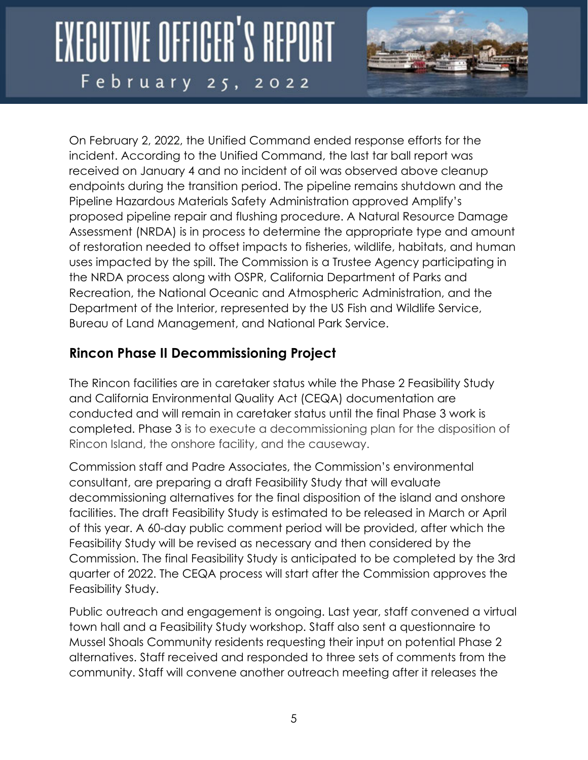

On February 2, 2022, the Unified Command ended response efforts for the incident. According to the Unified Command, the last tar ball report was received on January 4 and no incident of oil was observed above cleanup endpoints during the transition period. The pipeline remains shutdown and the Pipeline Hazardous Materials Safety Administration approved Amplify's proposed pipeline repair and flushing procedure. A Natural Resource Damage Assessment (NRDA) is in process to determine the appropriate type and amount of restoration needed to offset impacts to fisheries, wildlife, habitats, and human uses impacted by the spill. The Commission is a Trustee Agency participating in the NRDA process along with OSPR, California Department of Parks and Recreation, the National Oceanic and Atmospheric Administration, and the Department of the Interior, represented by the US Fish and Wildlife Service, Bureau of Land Management, and National Park Service.

#### **Rincon Phase II Decommissioning Project**

The Rincon facilities are in caretaker status while the Phase 2 Feasibility Study and California Environmental Quality Act (CEQA) documentation are conducted and will remain in caretaker status until the final Phase 3 work is completed. Phase 3 is to execute a decommissioning plan for the disposition of Rincon Island, the onshore facility, and the causeway.

Commission staff and Padre Associates, the Commission's environmental consultant, are preparing a draft Feasibility Study that will evaluate decommissioning alternatives for the final disposition of the island and onshore facilities. The draft Feasibility Study is estimated to be released in March or April of this year. A 60-day public comment period will be provided, after which the Feasibility Study will be revised as necessary and then considered by the Commission. The final Feasibility Study is anticipated to be completed by the 3rd quarter of 2022. The CEQA process will start after the Commission approves the Feasibility Study.

Public outreach and engagement is ongoing. Last year, staff convened a virtual town hall and a Feasibility Study workshop. Staff also sent a questionnaire to Mussel Shoals Community residents requesting their input on potential Phase 2 alternatives. Staff received and responded to three sets of comments from the community. Staff will convene another outreach meeting after it releases the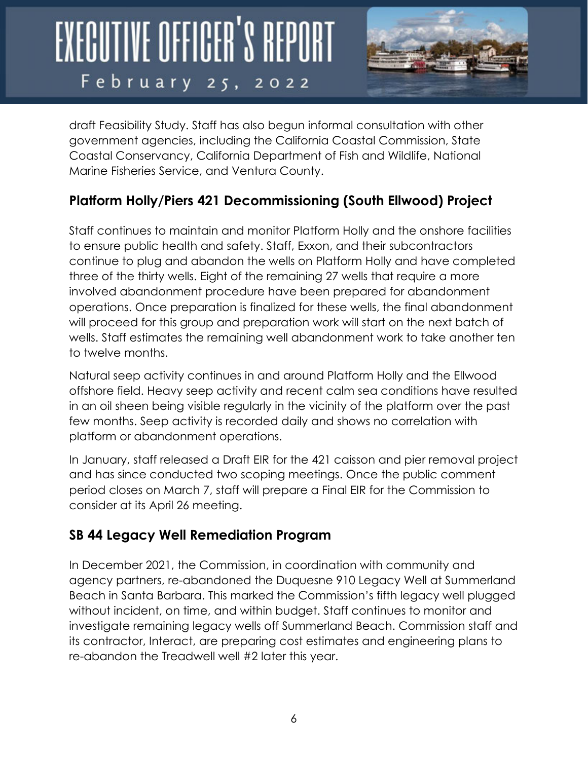

draft Feasibility Study. Staff has also begun informal consultation with other government agencies, including the California Coastal Commission, State Coastal Conservancy, California Department of Fish and Wildlife, National Marine Fisheries Service, and Ventura County.

#### **Platform Holly/Piers 421 Decommissioning (South Ellwood) Project**

Staff continues to maintain and monitor Platform Holly and the onshore facilities to ensure public health and safety. Staff, Exxon, and their subcontractors continue to plug and abandon the wells on Platform Holly and have completed three of the thirty wells. Eight of the remaining 27 wells that require a more involved abandonment procedure have been prepared for abandonment operations. Once preparation is finalized for these wells, the final abandonment will proceed for this group and preparation work will start on the next batch of wells. Staff estimates the remaining well abandonment work to take another ten to twelve months.

Natural seep activity continues in and around Platform Holly and the Ellwood offshore field. Heavy seep activity and recent calm sea conditions have resulted in an oil sheen being visible regularly in the vicinity of the platform over the past few months. Seep activity is recorded daily and shows no correlation with platform or abandonment operations.

In January, staff released a Draft EIR for the 421 caisson and pier removal project and has since conducted two scoping meetings. Once the public comment period closes on March 7, staff will prepare a Final EIR for the Commission to consider at its April 26 meeting.

#### **SB 44 Legacy Well Remediation Program**

In December 2021, the Commission, in coordination with community and agency partners, re-abandoned the Duquesne 910 Legacy Well at Summerland Beach in Santa Barbara. This marked the Commission's fifth legacy well plugged without incident, on time, and within budget. Staff continues to monitor and investigate remaining legacy wells off Summerland Beach. Commission staff and its contractor, Interact, are preparing cost estimates and engineering plans to re-abandon the Treadwell well #2 later this year.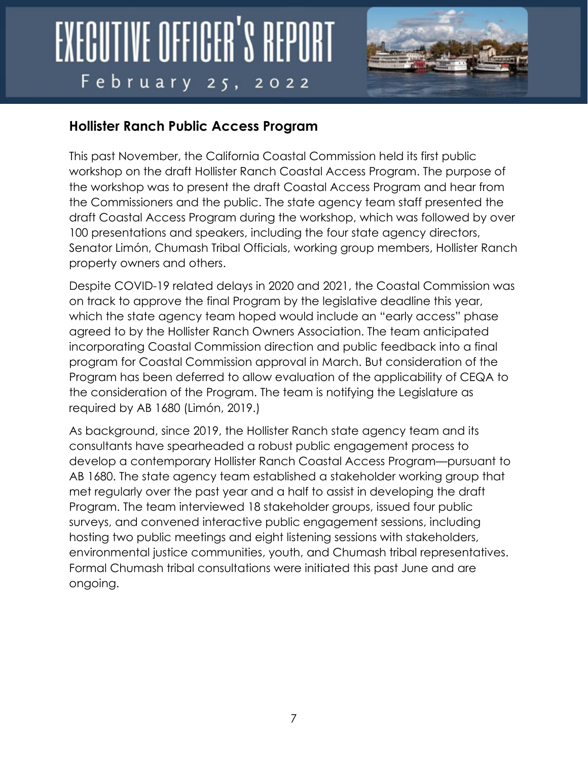

#### **Hollister Ranch Public Access Program**

This past November, the California Coastal Commission held its first public workshop on the draft Hollister Ranch Coastal Access Program. The purpose of the workshop was to present the draft Coastal Access Program and hear from the Commissioners and the public. The state agency team staff presented the draft Coastal Access Program during the workshop, which was followed by over 100 presentations and speakers, including the four state agency directors, Senator Limón, Chumash Tribal Officials, working group members, Hollister Ranch property owners and others.

Despite COVID-19 related delays in 2020 and 2021, the Coastal Commission was on track to approve the final Program by the legislative deadline this year, which the state agency team hoped would include an "early access" phase agreed to by the Hollister Ranch Owners Association. The team anticipated incorporating Coastal Commission direction and public feedback into a final program for Coastal Commission approval in March. But consideration of the Program has been deferred to allow evaluation of the applicability of CEQA to the consideration of the Program. The team is notifying the Legislature as required by AB 1680 (Limón, 2019.)

As background, since 2019, the Hollister Ranch state agency team and its consultants have spearheaded a robust public engagement process to develop a contemporary Hollister Ranch Coastal Access Program—pursuant to AB 1680. The state agency team established a stakeholder working group that met regularly over the past year and a half to assist in developing the draft Program. The team interviewed 18 stakeholder groups, issued four public surveys, and convened interactive public engagement sessions, including hosting two public meetings and eight listening sessions with stakeholders, environmental justice communities, youth, and Chumash tribal representatives. Formal Chumash tribal consultations were initiated this past June and are ongoing.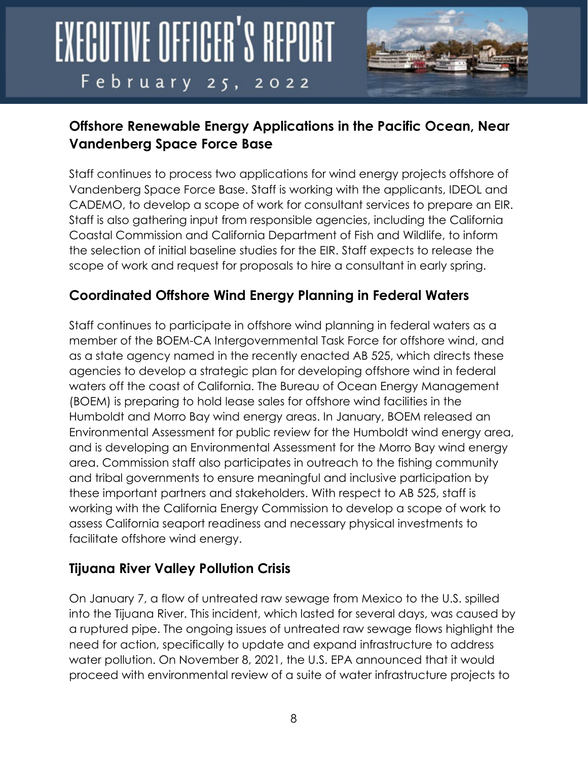

#### **Offshore Renewable Energy Applications in the Pacific Ocean, Near Vandenberg Space Force Base**

Staff continues to process two applications for wind energy projects offshore of Vandenberg Space Force Base. Staff is working with the applicants, IDEOL and CADEMO, to develop a scope of work for consultant services to prepare an EIR. Staff is also gathering input from responsible agencies, including the California Coastal Commission and California Department of Fish and Wildlife, to inform the selection of initial baseline studies for the EIR. Staff expects to release the scope of work and request for proposals to hire a consultant in early spring.

#### **Coordinated Offshore Wind Energy Planning in Federal Waters**

Staff continues to participate in offshore wind planning in federal waters as a member of the BOEM-CA Intergovernmental Task Force for offshore wind, and as a state agency named in the recently enacted AB 525, which directs these agencies to develop a strategic plan for developing offshore wind in federal waters off the coast of California. The Bureau of Ocean Energy Management (BOEM) is preparing to hold lease sales for offshore wind facilities in the Humboldt and Morro Bay wind energy areas. In January, BOEM released an Environmental Assessment for public review for the Humboldt wind energy area, and is developing an Environmental Assessment for the Morro Bay wind energy area. Commission staff also participates in outreach to the fishing community and tribal governments to ensure meaningful and inclusive participation by these important partners and stakeholders. With respect to AB 525, staff is working with the California Energy Commission to develop a scope of work to assess California seaport readiness and necessary physical investments to facilitate offshore wind energy.

#### **Tijuana River Valley Pollution Crisis**

On January 7, a flow of untreated raw sewage from Mexico to the U.S. spilled into the Tijuana River. This incident, which lasted for several days, was caused by a ruptured pipe. The ongoing issues of untreated raw sewage flows highlight the need for action, specifically to update and expand infrastructure to address water pollution. On November 8, 2021, the U.S. EPA announced that it would proceed with environmental review of a suite of water infrastructure projects to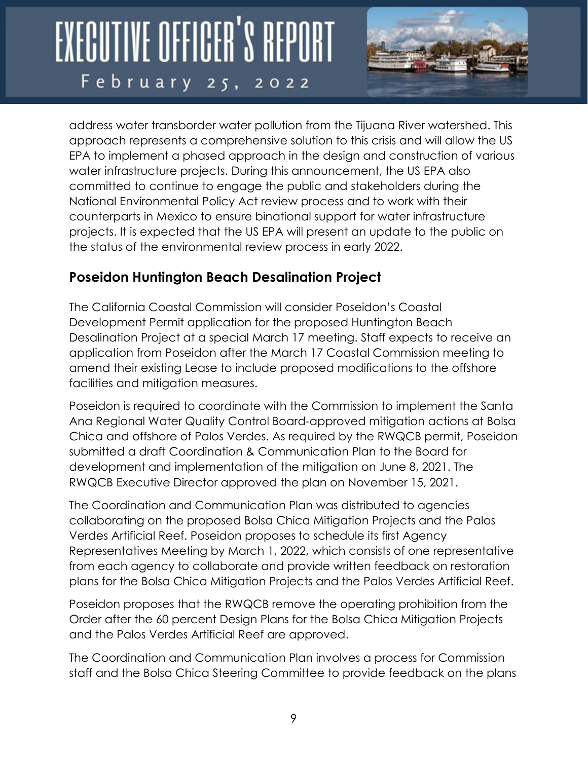

address water transborder water pollution from the Tijuana River watershed. This approach represents a comprehensive solution to this crisis and will allow the US EPA to implement a phased approach in the design and construction of various water infrastructure projects. During this announcement, the US EPA also committed to continue to engage the public and stakeholders during the National Environmental Policy Act review process and to work with their counterparts in Mexico to ensure binational support for water infrastructure projects. It is expected that the US EPA will present an update to the public on the status of the environmental review process in early 2022.

#### **Poseidon Huntington Beach Desalination Project**

The California Coastal Commission will consider Poseidon's Coastal Development Permit application for the proposed Huntington Beach Desalination Project at a special March 17 meeting. Staff expects to receive an application from Poseidon after the March 17 Coastal Commission meeting to amend their existing Lease to include proposed modifications to the offshore facilities and mitigation measures.

Poseidon is required to coordinate with the Commission to implement the Santa Ana Regional Water Quality Control Board-approved mitigation actions at Bolsa Chica and offshore of Palos Verdes. As required by the RWQCB permit, Poseidon submitted a draft Coordination & Communication Plan to the Board for development and implementation of the mitigation on June 8, 2021. The RWQCB Executive Director approved the plan on November 15, 2021.

The Coordination and Communication Plan was distributed to agencies collaborating on the proposed Bolsa Chica Mitigation Projects and the Palos Verdes Artificial Reef. Poseidon proposes to schedule its first Agency Representatives Meeting by March 1, 2022, which consists of one representative from each agency to collaborate and provide written feedback on restoration plans for the Bolsa Chica Mitigation Projects and the Palos Verdes Artificial Reef.

Poseidon proposes that the RWQCB remove the operating prohibition from the Order after the 60 percent Design Plans for the Bolsa Chica Mitigation Projects and the Palos Verdes Artificial Reef are approved.

The Coordination and Communication Plan involves a process for Commission staff and the Bolsa Chica Steering Committee to provide feedback on the plans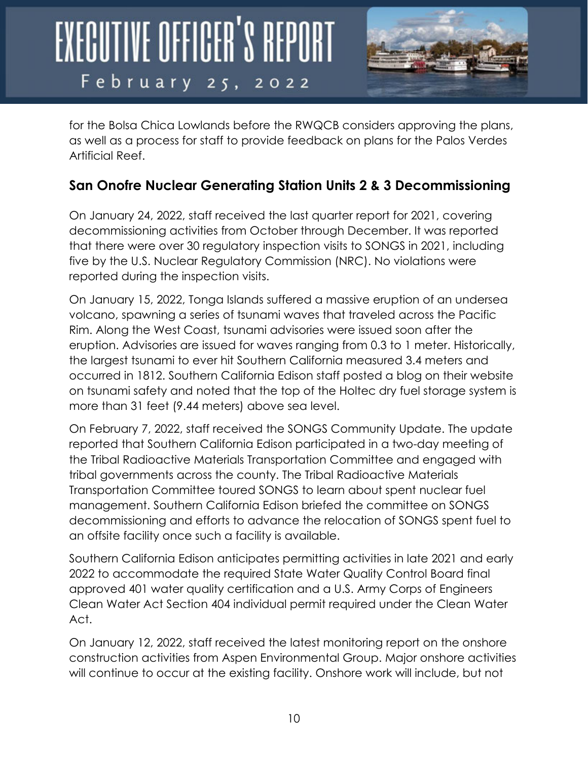

for the Bolsa Chica Lowlands before the RWQCB considers approving the plans, as well as a process for staff to provide feedback on plans for the Palos Verdes Artificial Reef.

#### **San Onofre Nuclear Generating Station Units 2 & 3 Decommissioning**

On January 24, 2022, staff received the last quarter report for 2021, covering decommissioning activities from October through December. It was reported that there were over 30 regulatory inspection visits to SONGS in 2021, including five by the U.S. Nuclear Regulatory Commission (NRC). No violations were reported during the inspection visits.

On January 15, 2022, Tonga Islands suffered a massive eruption of an undersea volcano, spawning a series of tsunami waves that traveled across the Pacific Rim. Along the West Coast, tsunami advisories were issued soon after the eruption. Advisories are issued for waves ranging from 0.3 to 1 meter. Historically, the largest tsunami to ever hit Southern California measured 3.4 meters and occurred in 1812. Southern California Edison staff posted a blog on their website on tsunami safety and noted that the top of the Holtec dry fuel storage system is more than 31 feet (9.44 meters) above sea level.

On February 7, 2022, staff received the SONGS Community Update. The update reported that Southern California Edison participated in a two-day meeting of the Tribal Radioactive Materials Transportation Committee and engaged with tribal governments across the county. The Tribal Radioactive Materials Transportation Committee toured SONGS to learn about spent nuclear fuel management. Southern California Edison briefed the committee on SONGS decommissioning and efforts to advance the relocation of SONGS spent fuel to an offsite facility once such a facility is available.

Southern California Edison anticipates permitting activities in late 2021 and early 2022 to accommodate the required State Water Quality Control Board final approved 401 water quality certification and a U.S. Army Corps of Engineers Clean Water Act Section 404 individual permit required under the Clean Water Act.

On January 12, 2022, staff received the latest monitoring report on the onshore construction activities from Aspen Environmental Group. Major onshore activities will continue to occur at the existing facility. Onshore work will include, but not